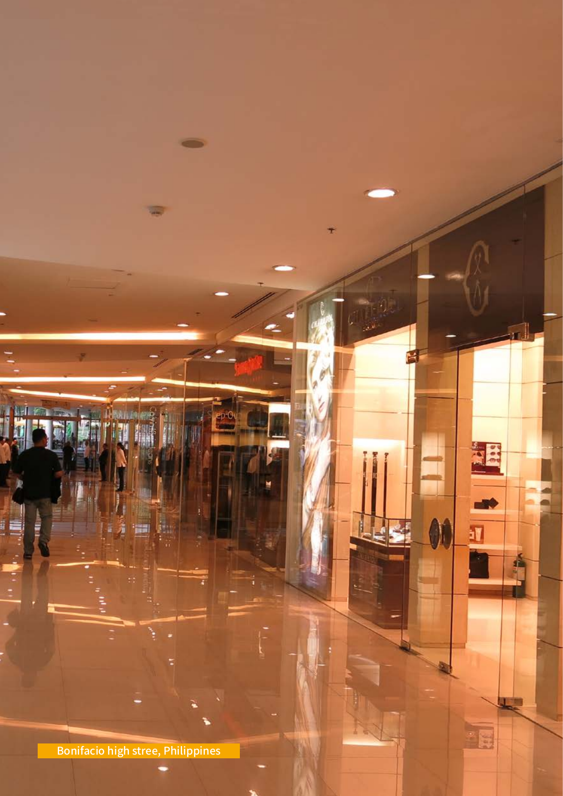Bonifacio high stree, Philippines

àV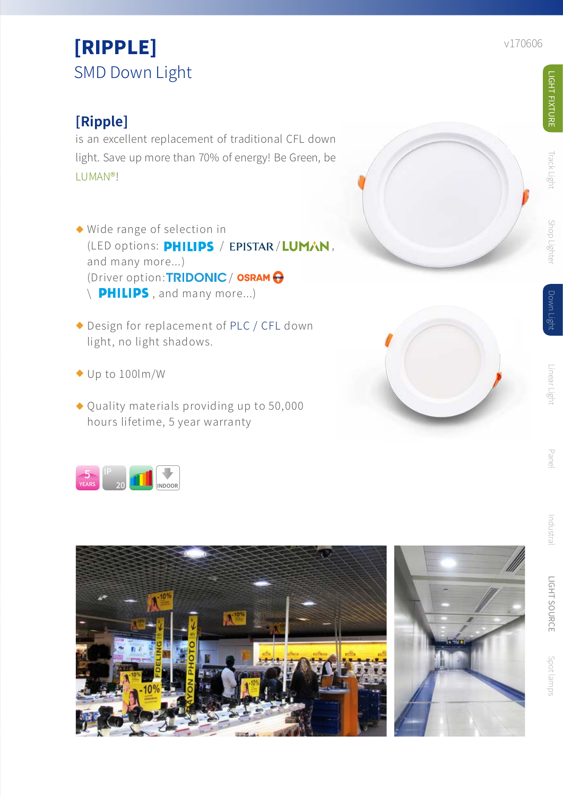## **[Ripple]**

is an excellent replacement of traditional CFL down light. Save up more than 70% of energy! Be Green, be LUMAN® !

- Wide range of selection in (LED options: PHILIPS / EPISTAR/LUMAN, and many more...) (Driver option: TRIDONIC / OSRAM O  $\setminus$  **PHILIPS**, and many more...) ◆ Wide range of sel<br>(LED options: **PH**<br>and many more...<br>(Driver option: **TF**<br> $\setminus$  **PHILIPS**, and<br> $\triangle$  Design for replace<br>light, no light sha<br> $\triangle$  Up to 100lm/W<br> $\triangle$  Quality materials<br>hours lifetime, 5<br>hours lifetime, 5
- ◆ Design for replacement of PLC / CFL down light, no light shadows.
- ◆ Up to 100lm/W
- Quality materials providing up to 50,000 hours lifetime, 5 year warranty









LIGHT FIXTURE

**JGHT FIXTURE** 

**Track Light** 

Shop Lighter

Down Ligh

Linear Light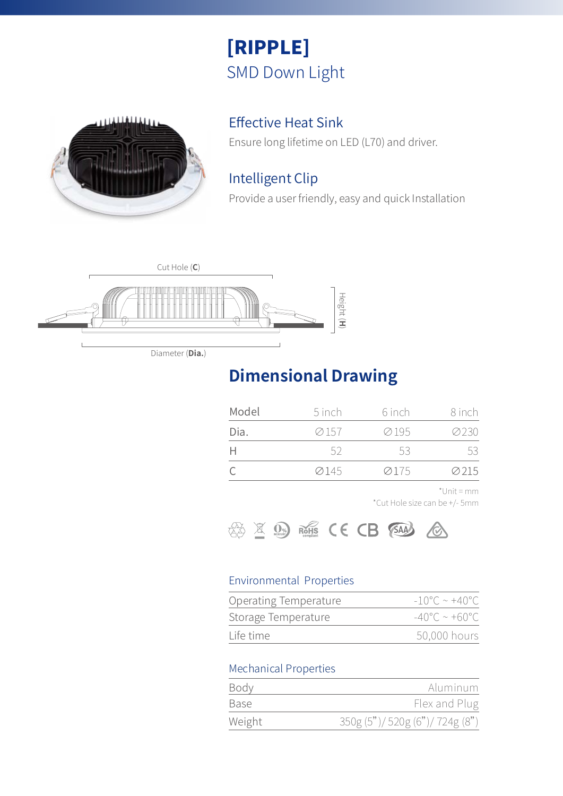

## Effective Heat Sink

Ensure long lifetime on LED (L70) and driver.

## Intelligent Clip

Provide a user friendly, easy and quick Installation



Diameter (**Dia.**)

## **Dimensional Drawing**

| Model | 5 inch | 6 inch | 8 inch |
|-------|--------|--------|--------|
| Dia.  | ⊘157   | ⊘195   | 0230   |
|       | -52.   | 53.    | 53     |
|       | ⊘145   | 0175   | 0015   |

\*Unit = mm

\*Cut Hole size can be +/- 5mm



### Environmental Properties

| Operating Temperature | $-10^{\circ}$ C ~ +40 $^{\circ}$ C |
|-----------------------|------------------------------------|
| Storage Temperature   | $-40^{\circ}$ C ~ +60°C.           |
| Life time             | 50,000 hours                       |

### Mechanical Properties

| Body        | Aluminum                      |
|-------------|-------------------------------|
| <b>Base</b> | Flex and Plug                 |
| Weight      | 350g (5")/520g (6")/724g (8") |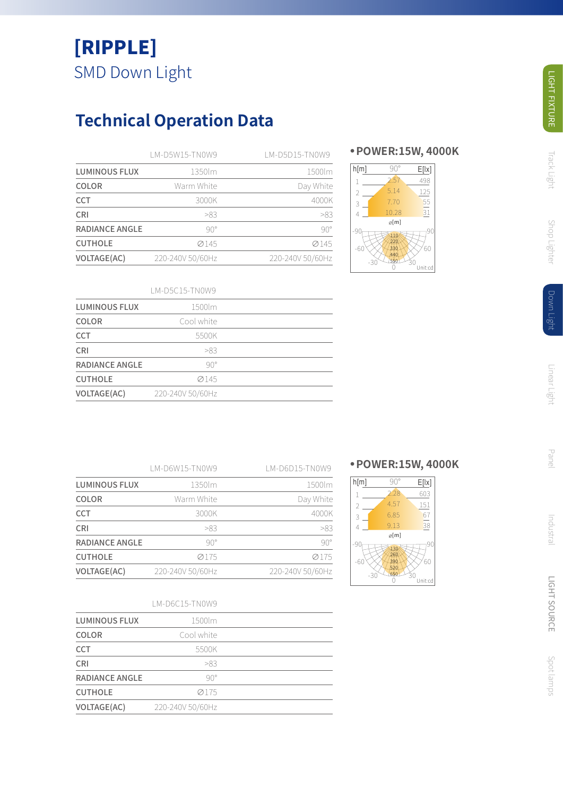## **Technical Operation Data**

|                       | LM-D5W15-TN0W9   | LM-D5D15-TN0W9   |
|-----------------------|------------------|------------------|
| <b>LUMINOUS FLUX</b>  | 1350lm           | 1500lm           |
| COLOR                 | Warm White       | Day White        |
| <b>CCT</b>            | 3000K            | 4000K            |
| <b>CRI</b>            | >83              | >83              |
| <b>RADIANCE ANGLE</b> | $90^\circ$       | $90^\circ$       |
| <b>CUTHOLE</b>        | Ø145             | Ø145             |
| <b>VOLTAGE(AC)</b>    | 220-240V 50/60Hz | 220-240V 50/60Hz |

### **● POWER:15W, 4000K**



#### LM-D5C15-TN0W9

| <b>LUMINOUS FLUX</b> | 1500lm           |  |
|----------------------|------------------|--|
| COLOR                | Cool white       |  |
| <b>CCT</b>           | 5500K            |  |
| CRI                  | >83              |  |
| RADIANCE ANGLE       | $90^\circ$       |  |
| <b>CUTHOLE</b>       | Ø145             |  |
| VOLTAGE(AC)          | 220-240V 50/60Hz |  |
|                      |                  |  |

LM-D6W15-TN0W9

LM-D6D15-TN0W9

| <b>LUMINOUS FLUX</b>  | 1350lm           | 1500lm           |
|-----------------------|------------------|------------------|
| COLOR                 | Warm White       | Day White        |
| <b>CCT</b>            | 3000K            | 4000K            |
| <b>CRI</b>            | >83              | >83              |
| <b>RADIANCE ANGLE</b> | $90^\circ$       | $90^\circ$       |
| <b>CUTHOLE</b>        | 0175             | 0175             |
| <b>VOLTAGE(AC)</b>    | 220-240V 50/60Hz | 220-240V 50/60Hz |

#### LM-D6C15-TN0W9

| <b>LUMINOUS FLUX</b>  | 1500lm           |  |
|-----------------------|------------------|--|
| COLOR                 | Cool white       |  |
| <b>CCT</b>            | 5500K            |  |
| <b>CRI</b>            | >83              |  |
| <b>RADIANCE ANGLE</b> | $90^\circ$       |  |
| <b>CUTHOLE</b>        | 0175             |  |
| <b>VOLTAGE(AC)</b>    | 220-240V 50/60Hz |  |

### **● POWER:15W, 4000K**



**Track Light** 

Industral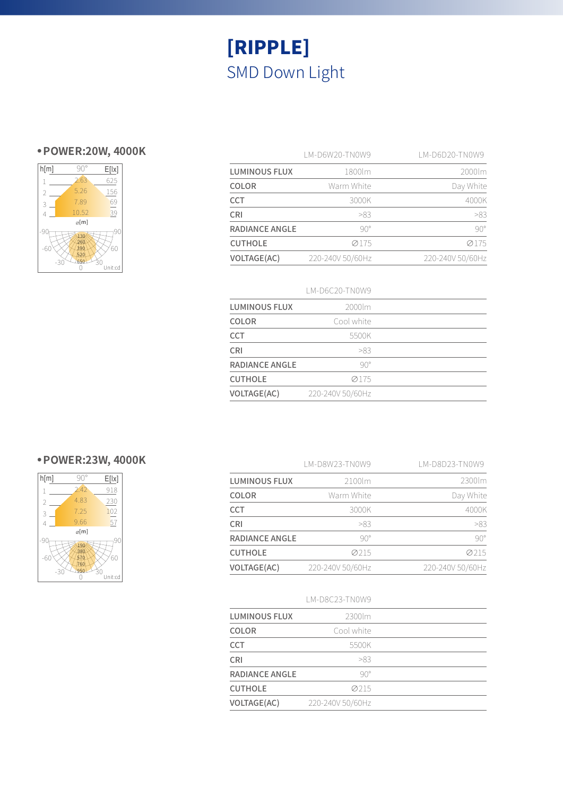## **● POWER:20W, 4000K**



|                      | LM-D6W20-TN0W9   | I M-D6D20-TN0W9  |
|----------------------|------------------|------------------|
| <b>LUMINOUS FLUX</b> | 1800lm           | 2000lm           |
| COLOR                | Warm White       | Day White        |
| <b>CCT</b>           | 3000K            | 4000K            |
| <b>CRI</b>           | >83              | >83              |
| RADIANCE ANGLE       | $90^\circ$       | $90^\circ$       |
| <b>CUTHOLE</b>       | 0175             | 0175             |
| <b>VOLTAGE(AC)</b>   | 220-240V 50/60Hz | 220-240V 50/60Hz |

#### LM-D6C20-TN0W9

| <b>LUMINOUS FLUX</b> | 2000lm           |  |
|----------------------|------------------|--|
| COLOR                | Cool white       |  |
| <b>CCT</b>           | 5500K            |  |
| <b>CRI</b>           | >83              |  |
| RADIANCE ANGLE       | $90^\circ$       |  |
| <b>CUTHOLE</b>       | 0175             |  |
| <b>VOLTAGE(AC)</b>   | 220-240V 50/60Hz |  |

### **● POWER:23W, 4000K**

| h[m]           | 90°          | E[ x]         |
|----------------|--------------|---------------|
| 1              | 2.42         | 918           |
| $\overline{2}$ | 4.83         | 230           |
| 3              | 7.25         | 102           |
| $\overline{A}$ | 9.66         | 57            |
|                | $\infty$ [m] |               |
| -9<br>-60      |              | 90<br>60      |
|                | -30          | RΟ<br>Unit:cd |

|                       | LM-D8W23-TN0W9   | LM-D8D23-TN0W9   |
|-----------------------|------------------|------------------|
| <b>LUMINOUS FLUX</b>  | 2100lm           | 2300lm           |
| <b>COLOR</b>          | Warm White       | Day White        |
| <b>CCT</b>            | 3000K            | 4000K            |
| <b>CRI</b>            | >83              | >83              |
| <b>RADIANCE ANGLE</b> | $90^\circ$       | $90^\circ$       |
| <b>CUTHOLE</b>        | 0215             | 0215             |
| <b>VOLTAGE(AC)</b>    | 220-240V 50/60Hz | 220-240V 50/60Hz |

#### LM-D8C23-TN0W9

| <b>LUMINOUS FLUX</b> | 2300lm           |  |
|----------------------|------------------|--|
| COLOR                | Cool white       |  |
| <b>CCT</b>           | 5500K            |  |
| CRI                  | >83              |  |
| RADIANCE ANGLE       | $90^\circ$       |  |
| <b>CUTHOLE</b>       | 00215            |  |
| VOLTAGE(AC)          | 220-240V 50/60Hz |  |